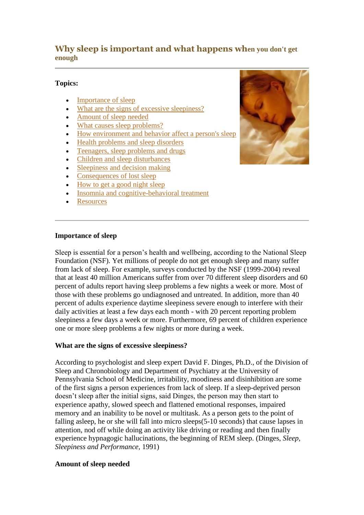# **Why sleep is important and what happens when you don't get enough**

## **Topics:**

- [Importance of sleep](http://www.apa.org/topics/whysleep.html#importance)
- [What are the signs of excessive sleepiness?](http://www.apa.org/topics/whysleep.html#signs)
- [Amount of sleep needed](http://www.apa.org/topics/whysleep.html#amount)
- [What causes sleep problems?](http://www.apa.org/topics/whysleep.html#causes)
- [How environment and behavior affect a person's sleep](http://www.apa.org/topics/whysleep.html#environment)
- [Health problems and sleep disorders](http://www.apa.org/topics/whysleep.html#health)
- [Teenagers, sleep problems and drugs](http://www.apa.org/topics/whysleep.html#teens)
- [Children and sleep disturbances](http://www.apa.org/topics/whysleep.html#children)
- [Sleepiness and decision making](http://www.apa.org/topics/whysleep.html#decision)
- [Consequences of lost sleep](http://www.apa.org/topics/whysleep.html#consequences)
- [How to get a good night sleep](http://www.apa.org/topics/whysleep.html#how)
- [Insomnia and cognitive-behavioral treatment](http://www.apa.org/topics/whysleep.html#insomnia)
- **[Resources](http://www.apa.org/topics/whysleep.html#resources)**



#### **Importance of sleep**

Sleep is essential for a person's health and wellbeing, according to the National Sleep Foundation (NSF). Yet millions of people do not get enough sleep and many suffer from lack of sleep. For example, surveys conducted by the NSF (1999-2004) reveal that at least 40 million Americans suffer from over 70 different sleep disorders and 60 percent of adults report having sleep problems a few nights a week or more. Most of those with these problems go undiagnosed and untreated. In addition, more than 40 percent of adults experience daytime sleepiness severe enough to interfere with their daily activities at least a few days each month - with 20 percent reporting problem sleepiness a few days a week or more. Furthermore, 69 percent of children experience one or more sleep problems a few nights or more during a week.

### **What are the signs of excessive sleepiness?**

According to psychologist and sleep expert David F. Dinges, Ph.D., of the Division of Sleep and Chronobiology and Department of Psychiatry at the University of Pennsylvania School of Medicine, irritability, moodiness and disinhibition are some of the first signs a person experiences from lack of sleep. If a sleep-deprived person doesn't sleep after the initial signs, said Dinges, the person may then start to experience apathy, slowed speech and flattened emotional responses, impaired memory and an inability to be novel or multitask. As a person gets to the point of falling asleep, he or she will fall into micro sleeps(5-10 seconds) that cause lapses in attention, nod off while doing an activity like driving or reading and then finally experience hypnagogic hallucinations, the beginning of REM sleep. (Dinges, *Sleep, Sleepiness and Performance,* 1991)

#### **Amount of sleep needed**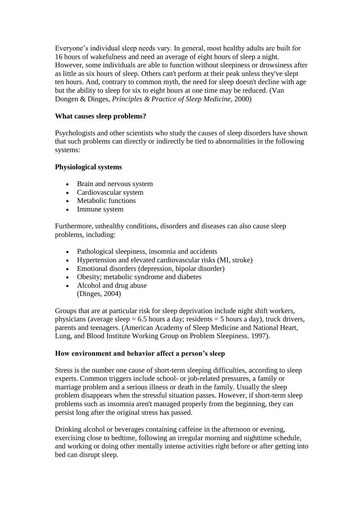Everyone's individual sleep needs vary. In general, most healthy adults are built for 16 hours of wakefulness and need an average of eight hours of sleep a night. However, some individuals are able to function without sleepiness or drowsiness after as little as six hours of sleep. Others can't perform at their peak unless they've slept ten hours. And, contrary to common myth, the need for sleep doesn't decline with age but the ability to sleep for six to eight hours at one time may be reduced. (Van Dongen & Dinges, *Principles & Practice of Sleep Medicine,* 2000)

## **What causes sleep problems?**

Psychologists and other scientists who study the causes of sleep disorders have shown that such problems can directly or indirectly be tied to abnormalities in the following systems:

## **Physiological systems**

- Brain and nervous system
- Cardiovascular system
- Metabolic functions
- Immune system

Furthermore, unhealthy conditions, disorders and diseases can also cause sleep problems, including:

- Pathological sleepiness, insomnia and accidents
- Hypertension and elevated cardiovascular risks (MI, stroke)
- Emotional disorders (depression, bipolar disorder)
- Obesity; metabolic syndrome and diabetes
- Alcohol and drug abuse (Dinges, 2004)

Groups that are at particular risk for sleep deprivation include night shift workers, physicians (average sleep  $= 6.5$  hours a day; residents  $= 5$  hours a day), truck drivers, parents and teenagers. (American Academy of Sleep Medicine and National Heart, Lung, and Blood Institute Working Group on Problem Sleepiness. 1997).

## **How environment and behavior affect a person's sleep**

Stress is the number one cause of short-term sleeping difficulties, according to sleep experts. Common triggers include school- or job-related pressures, a family or marriage problem and a serious illness or death in the family. Usually the sleep problem disappears when the stressful situation passes. However, if short-term sleep problems such as insomnia aren't managed properly from the beginning, they can persist long after the original stress has passed.

Drinking alcohol or beverages containing caffeine in the afternoon or evening, exercising close to bedtime, following an irregular morning and nighttime schedule, and working or doing other mentally intense activities right before or after getting into bed can disrupt sleep.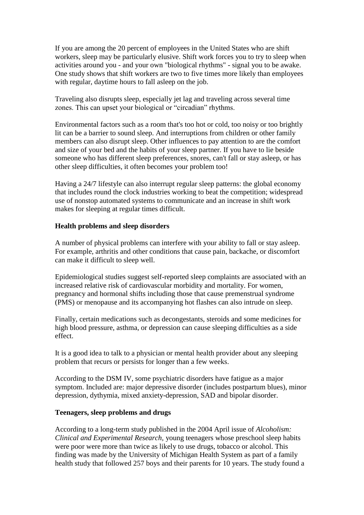If you are among the 20 percent of employees in the United States who are shift workers, sleep may be particularly elusive. Shift work forces you to try to sleep when activities around you - and your own "biological rhythms" - signal you to be awake. One study shows that shift workers are two to five times more likely than employees with regular, daytime hours to fall asleep on the job.

Traveling also disrupts sleep, especially jet lag and traveling across several time zones. This can upset your biological or "circadian" rhythms.

Environmental factors such as a room that's too hot or cold, too noisy or too brightly lit can be a barrier to sound sleep. And interruptions from children or other family members can also disrupt sleep. Other influences to pay attention to are the comfort and size of your bed and the habits of your sleep partner. If you have to lie beside someone who has different sleep preferences, snores, can't fall or stay asleep, or has other sleep difficulties, it often becomes your problem too!

Having a 24/7 lifestyle can also interrupt regular sleep patterns: the global economy that includes round the clock industries working to beat the competition; widespread use of nonstop automated systems to communicate and an increase in shift work makes for sleeping at regular times difficult.

#### **Health problems and sleep disorders**

A number of physical problems can interfere with your ability to fall or stay asleep. For example, arthritis and other conditions that cause pain, backache, or discomfort can make it difficult to sleep well.

Epidemiological studies suggest self-reported sleep complaints are associated with an increased relative risk of cardiovascular morbidity and mortality. For women, pregnancy and hormonal shifts including those that cause premenstrual syndrome (PMS) or menopause and its accompanying hot flashes can also intrude on sleep.

Finally, certain medications such as decongestants, steroids and some medicines for high blood pressure, asthma, or depression can cause sleeping difficulties as a side effect.

It is a good idea to talk to a physician or mental health provider about any sleeping problem that recurs or persists for longer than a few weeks.

According to the DSM IV, some psychiatric disorders have fatigue as a major symptom. Included are: major depressive disorder (includes postpartum blues), minor depression, dythymia, mixed anxiety-depression, SAD and bipolar disorder.

#### **Teenagers, sleep problems and drugs**

According to a long-term study published in the 2004 April issue of *Alcoholism: Clinical and Experimental Research,* young teenagers whose preschool sleep habits were poor were more than twice as likely to use drugs, tobacco or alcohol. This finding was made by the University of Michigan Health System as part of a family health study that followed 257 boys and their parents for 10 years. The study found a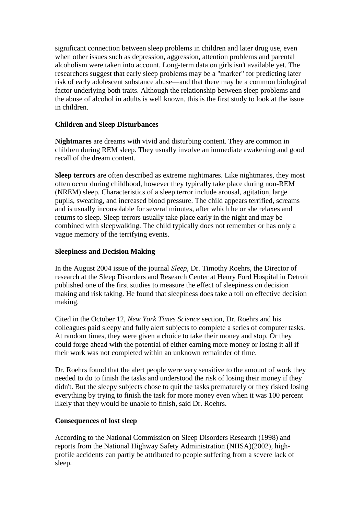significant connection between sleep problems in children and later drug use, even when other issues such as depression, aggression, attention problems and parental alcoholism were taken into account. Long-term data on girls isn't available yet. The researchers suggest that early sleep problems may be a "marker" for predicting later risk of early adolescent substance abuse—and that there may be a common biological factor underlying both traits. Although the relationship between sleep problems and the abuse of alcohol in adults is well known, this is the first study to look at the issue in children.

## **Children and Sleep Disturbances**

**Nightmares** are dreams with vivid and disturbing content. They are common in children during REM sleep. They usually involve an immediate awakening and good recall of the dream content.

**Sleep terrors** are often described as extreme nightmares. Like nightmares, they most often occur during childhood, however they typically take place during non-REM (NREM) sleep. Characteristics of a sleep terror include arousal, agitation, large pupils, sweating, and increased blood pressure. The child appears terrified, screams and is usually inconsolable for several minutes, after which he or she relaxes and returns to sleep. Sleep terrors usually take place early in the night and may be combined with sleepwalking. The child typically does not remember or has only a vague memory of the terrifying events.

## **Sleepiness and Decision Making**

In the August 2004 issue of the journal *Sleep,* Dr. Timothy Roehrs, the Director of research at the Sleep Disorders and Research Center at Henry Ford Hospital in Detroit published one of the first studies to measure the effect of sleepiness on decision making and risk taking. He found that sleepiness does take a toll on effective decision making.

Cited in the October 12, *New York Times Science* section, Dr. Roehrs and his colleagues paid sleepy and fully alert subjects to complete a series of computer tasks. At random times, they were given a choice to take their money and stop. Or they could forge ahead with the potential of either earning more money or losing it all if their work was not completed within an unknown remainder of time.

Dr. Roehrs found that the alert people were very sensitive to the amount of work they needed to do to finish the tasks and understood the risk of losing their money if they didn't. But the sleepy subjects chose to quit the tasks prematurely or they risked losing everything by trying to finish the task for more money even when it was 100 percent likely that they would be unable to finish, said Dr. Roehrs.

#### **Consequences of lost sleep**

According to the National Commission on Sleep Disorders Research (1998) and reports from the National Highway Safety Administration (NHSA)(2002), highprofile accidents can partly be attributed to people suffering from a severe lack of sleep.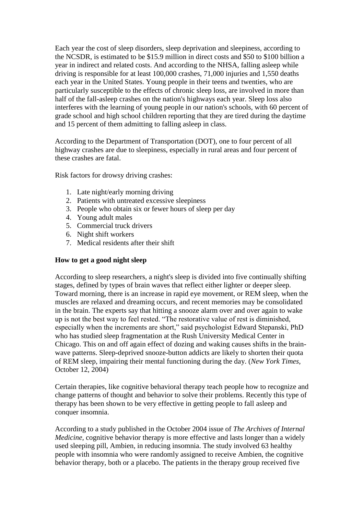Each year the cost of sleep disorders, sleep deprivation and sleepiness, according to the NCSDR, is estimated to be \$15.9 million in direct costs and \$50 to \$100 billion a year in indirect and related costs. And according to the NHSA, falling asleep while driving is responsible for at least 100,000 crashes, 71,000 injuries and 1,550 deaths each year in the United States. Young people in their teens and twenties, who are particularly susceptible to the effects of chronic sleep loss, are involved in more than half of the fall-asleep crashes on the nation's highways each year. Sleep loss also interferes with the learning of young people in our nation's schools, with 60 percent of grade school and high school children reporting that they are tired during the daytime and 15 percent of them admitting to falling asleep in class.

According to the Department of Transportation (DOT), one to four percent of all highway crashes are due to sleepiness, especially in rural areas and four percent of these crashes are fatal.

Risk factors for drowsy driving crashes:

- 1. Late night/early morning driving
- 2. Patients with untreated excessive sleepiness
- 3. People who obtain six or fewer hours of sleep per day
- 4. Young adult males
- 5. Commercial truck drivers
- 6. Night shift workers
- 7. Medical residents after their shift

#### **How to get a good night sleep**

According to sleep researchers, a night's sleep is divided into five continually shifting stages, defined by types of brain waves that reflect either lighter or deeper sleep. Toward morning, there is an increase in rapid eye movement, or REM sleep, when the muscles are relaxed and dreaming occurs, and recent memories may be consolidated in the brain. The experts say that hitting a snooze alarm over and over again to wake up is not the best way to feel rested. "The restorative value of rest is diminished, especially when the increments are short," said psychologist Edward Stepanski, PhD who has studied sleep fragmentation at the Rush University Medical Center in Chicago. This on and off again effect of dozing and waking causes shifts in the brainwave patterns. Sleep-deprived snooze-button addicts are likely to shorten their quota of REM sleep, impairing their mental functioning during the day. (*New York Times,* October 12, 2004)

Certain therapies, like cognitive behavioral therapy teach people how to recognize and change patterns of thought and behavior to solve their problems. Recently this type of therapy has been shown to be very effective in getting people to fall asleep and conquer insomnia.

According to a study published in the October 2004 issue of *The Archives of Internal Medicine,* cognitive behavior therapy is more effective and lasts longer than a widely used sleeping pill, Ambien, in reducing insomnia. The study involved 63 healthy people with insomnia who were randomly assigned to receive Ambien, the cognitive behavior therapy, both or a placebo. The patients in the therapy group received five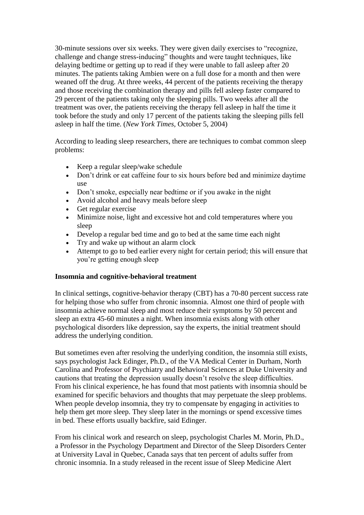30-minute sessions over six weeks. They were given daily exercises to "recognize, challenge and change stress-inducing" thoughts and were taught techniques, like delaying bedtime or getting up to read if they were unable to fall asleep after 20 minutes. The patients taking Ambien were on a full dose for a month and then were weaned off the drug. At three weeks, 44 percent of the patients receiving the therapy and those receiving the combination therapy and pills fell asleep faster compared to 29 percent of the patients taking only the sleeping pills. Two weeks after all the treatment was over, the patients receiving the therapy fell asleep in half the time it took before the study and only 17 percent of the patients taking the sleeping pills fell asleep in half the time. (*New York Times,* October 5, 2004)

According to leading sleep researchers, there are techniques to combat common sleep problems:

- Keep a regular sleep/wake schedule
- Don't drink or eat caffeine four to six hours before bed and minimize daytime use
- Don't smoke, especially near bedtime or if you awake in the night
- Avoid alcohol and heavy meals before sleep
- Get regular exercise
- Minimize noise, light and excessive hot and cold temperatures where you sleep
- Develop a regular bed time and go to bed at the same time each night
- Try and wake up without an alarm clock
- Attempt to go to bed earlier every night for certain period; this will ensure that you're getting enough sleep

#### **Insomnia and cognitive-behavioral treatment**

In clinical settings, cognitive-behavior therapy (CBT) has a 70-80 percent success rate for helping those who suffer from chronic insomnia. Almost one third of people with insomnia achieve normal sleep and most reduce their symptoms by 50 percent and sleep an extra 45-60 minutes a night. When insomnia exists along with other psychological disorders like depression, say the experts, the initial treatment should address the underlying condition.

But sometimes even after resolving the underlying condition, the insomnia still exists, says psychologist Jack Edinger, Ph.D., of the VA Medical Center in Durham, North Carolina and Professor of Psychiatry and Behavioral Sciences at Duke University and cautions that treating the depression usually doesn't resolve the sleep difficulties. From his clinical experience, he has found that most patients with insomnia should be examined for specific behaviors and thoughts that may perpetuate the sleep problems. When people develop insomnia, they try to compensate by engaging in activities to help them get more sleep. They sleep later in the mornings or spend excessive times in bed. These efforts usually backfire, said Edinger.

From his clinical work and research on sleep, psychologist Charles M. Morin, Ph.D., a Professor in the Psychology Department and Director of the Sleep Disorders Center at University Laval in Quebec, Canada says that ten percent of adults suffer from chronic insomnia. In a study released in the recent issue of Sleep Medicine Alert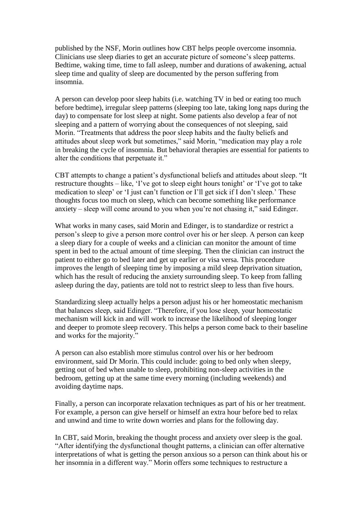published by the NSF, Morin outlines how CBT helps people overcome insomnia. Clinicians use sleep diaries to get an accurate picture of someone's sleep patterns. Bedtime, waking time, time to fall asleep, number and durations of awakening, actual sleep time and quality of sleep are documented by the person suffering from insomnia.

A person can develop poor sleep habits (i.e. watching TV in bed or eating too much before bedtime), irregular sleep patterns (sleeping too late, taking long naps during the day) to compensate for lost sleep at night. Some patients also develop a fear of not sleeping and a pattern of worrying about the consequences of not sleeping, said Morin. "Treatments that address the poor sleep habits and the faulty beliefs and attitudes about sleep work but sometimes," said Morin, "medication may play a role in breaking the cycle of insomnia. But behavioral therapies are essential for patients to alter the conditions that perpetuate it."

CBT attempts to change a patient's dysfunctional beliefs and attitudes about sleep. "It restructure thoughts – like, 'I've got to sleep eight hours tonight' or 'I've got to take medication to sleep' or 'I just can't function or I'll get sick if I don't sleep.' These thoughts focus too much on sleep, which can become something like performance anxiety – sleep will come around to you when you're not chasing it," said Edinger.

What works in many cases, said Morin and Edinger, is to standardize or restrict a person's sleep to give a person more control over his or her sleep. A person can keep a sleep diary for a couple of weeks and a clinician can monitor the amount of time spent in bed to the actual amount of time sleeping. Then the clinician can instruct the patient to either go to bed later and get up earlier or visa versa. This procedure improves the length of sleeping time by imposing a mild sleep deprivation situation, which has the result of reducing the anxiety surrounding sleep. To keep from falling asleep during the day, patients are told not to restrict sleep to less than five hours.

Standardizing sleep actually helps a person adjust his or her homeostatic mechanism that balances sleep, said Edinger. "Therefore, if you lose sleep, your homeostatic mechanism will kick in and will work to increase the likelihood of sleeping longer and deeper to promote sleep recovery. This helps a person come back to their baseline and works for the majority."

A person can also establish more stimulus control over his or her bedroom environment, said Dr Morin. This could include: going to bed only when sleepy, getting out of bed when unable to sleep, prohibiting non-sleep activities in the bedroom, getting up at the same time every morning (including weekends) and avoiding daytime naps.

Finally, a person can incorporate relaxation techniques as part of his or her treatment. For example, a person can give herself or himself an extra hour before bed to relax and unwind and time to write down worries and plans for the following day.

In CBT, said Morin, breaking the thought process and anxiety over sleep is the goal. "After identifying the dysfunctional thought patterns, a clinician can offer alternative interpretations of what is getting the person anxious so a person can think about his or her insomnia in a different way." Morin offers some techniques to restructure a